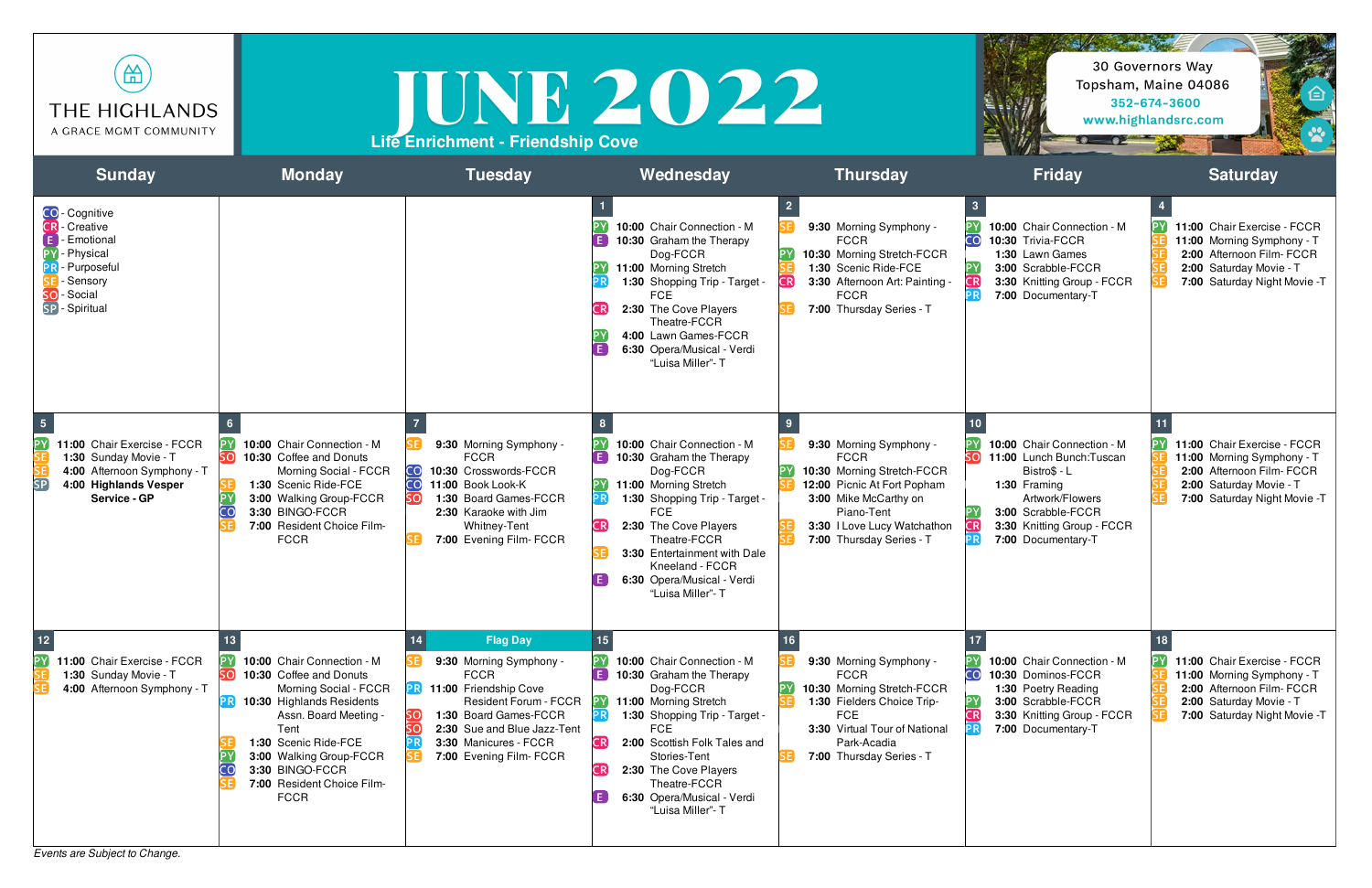

## JUNE 2022 **Life Enrichment - Friendship Cove**



*Events are Subject to Change.*

## 30 Governors Way Topsham, Maine 04086 352-674-3600 www.highlandsrc.com

Sold the state of

8 8 8



| <b>Sunday</b>                                                                                                                                             | <b>Monday</b>                                                                                                                                                                                                                                                          | <b>Tuesday</b>                                                                                                                                                                                                                                 | Wednesday                                                                                                                                                                                                                                                                                                         | <b>Thursday</b>                                                                                                                                                                                       | <b>Friday</b>                                                                                                                                                                               | <b>Saturday</b>                                                                                                                                   |
|-----------------------------------------------------------------------------------------------------------------------------------------------------------|------------------------------------------------------------------------------------------------------------------------------------------------------------------------------------------------------------------------------------------------------------------------|------------------------------------------------------------------------------------------------------------------------------------------------------------------------------------------------------------------------------------------------|-------------------------------------------------------------------------------------------------------------------------------------------------------------------------------------------------------------------------------------------------------------------------------------------------------------------|-------------------------------------------------------------------------------------------------------------------------------------------------------------------------------------------------------|---------------------------------------------------------------------------------------------------------------------------------------------------------------------------------------------|---------------------------------------------------------------------------------------------------------------------------------------------------|
| <b>CO</b> - Cognitive<br><b>CR</b> - Creative<br>$\mathsf{E}$ - Emotional<br>- Physical<br>- Purposeful<br>- Sensory<br>- Social<br>SO.<br>SP - Spiritual |                                                                                                                                                                                                                                                                        |                                                                                                                                                                                                                                                | 10:00 Chair Connection - M<br>10:30 Graham the Therapy<br>Dog-FCCR<br>11:00 Morning Stretch<br>1:30 Shopping Trip - Target -<br><b>FCE</b><br>2:30 The Cove Players<br>⊺R<br>Theatre-FCCR<br>4:00 Lawn Games-FCCR<br>E.<br>6:30 Opera/Musical - Verdi<br>"Luisa Miller"- T                                        | 9:30 Morning Symphony -<br><b>FCCR</b><br>10:30 Morning Stretch-FCCR<br>1:30 Scenic Ride-FCE<br>3:30 Afternoon Art: Painting -<br>CR.<br><b>FCCR</b><br>7:00 Thursday Series - T                      | 10:00 Chair Connection - M<br>CO <sub>1</sub><br>10:30 Trivia-FCCR<br>1:30 Lawn Games<br>3:00 Scrabble-FCCR<br><b>DV</b><br>CR<br>3:30 Knitting Group - FCCR<br>7:00 Documentary-T          | 11:00 Chair Exercise - FCCR<br>11:00 Morning Symphony - T<br>2:00 Afternoon Film- FCCR<br>2:00 Saturday Movie - T<br>7:00 Saturday Night Movie -T |
| [PY]<br>11:00 Chair Exercise - FCCR<br>1:30 Sunday Movie - T<br>4:00 Afternoon Symphony - T<br>4:00 Highlands Vesper<br>Service - GP                      | 10:00 Chair Connection - M<br>10:30 Coffee and Donuts<br>Morning Social - FCCR<br>1:30 Scenic Ride-FCE<br>3:00 Walking Group-FCCR<br>3:30 BINGO-FCCR<br>7:00 Resident Choice Film-<br><b>FCCR</b>                                                                      | 9:30 Morning Symphony -<br><b>FCCR</b><br>10:30 Crosswords-FCCR<br>CO<br>$\overline{\mathsf{co}}$<br>11:00 Book Look-K<br>1:30 Board Games-FCCR<br>2:30 Karaoke with Jim<br>Whitney-Tent<br>7:00 Evening Film- FCCR                            | 10:00 Chair Connection - M<br>F.<br>10:30 Graham the Therapy<br>Dog-FCCR<br>11:00 Morning Stretch<br>1:30 Shopping Trip - Target -<br><b>FCE</b><br>CR)<br>2:30 The Cove Players<br>Theatre-FCCR<br>3:30 Entertainment with Dale<br>Kneeland - FCCR<br>6:30 Opera/Musical - Verdi<br>"Luisa Miller"- T            | 9:30 Morning Symphony -<br><b>FCCR</b><br>10:30 Morning Stretch-FCCR<br>12:00 Picnic At Fort Popham<br>3:00 Mike McCarthy on<br>Piano-Tent<br>3:30 I Love Lucy Watchathon<br>7:00 Thursday Series - T | 10:00 Chair Connection - M<br>11:00 Lunch Bunch: Tuscan<br>Bistro\$ - L<br>1:30 Framing<br>Artwork/Flowers<br>3:00 Scrabble-FCCR<br>CR)<br>3:30 Knitting Group - FCCR<br>7:00 Documentary-T | 11:00 Chair Exercise - FCCR<br>11:00 Morning Symphony - T<br>2:00 Afternoon Film- FCCR<br>2:00 Saturday Movie - T<br>7:00 Saturday Night Movie -T |
| 11:00 Chair Exercise - FCCR<br>1:30 Sunday Movie - T<br>4:00 Afternoon Symphony - T                                                                       | 10:00 Chair Connection - M<br>10:30 Coffee and Donuts<br>Morning Social - FCCR<br>10:30 Highlands Residents<br>Assn. Board Meeting -<br>Tent<br>1:30 Scenic Ride-FCE<br>3:00 Walking Group-FCCR<br>3:30 BINGO-FCCR<br>CO.<br>7:00 Resident Choice Film-<br><b>FCCR</b> | 14<br><b>Flag Day</b><br>9:30 Morning Symphony -<br><b>FCCR</b><br><b>PR</b> 11:00 Friendship Cove<br><b>Resident Forum - FCCR</b><br>1:30 Board Games-FCCR<br>2:30 Sue and Blue Jazz-Tent<br>3:30 Manicures - FCCR<br>7:00 Evening Film- FCCR | 10:00 Chair Connection - M<br>$\vert$ E $\vert$<br>10:30 Graham the Therapy<br>Dog-FCCR<br>11:00 Morning Stretch<br>1:30 Shopping Trip - Target -<br><b>FCE</b><br>CR<br>2:00 Scottish Folk Tales and<br>Stories-Tent<br>2:30 The Cove Players<br>Theatre-FCCR<br>6:30 Opera/Musical - Verdi<br>"Luisa Miller"- T | 9:30 Morning Symphony -<br><b>FCCR</b><br>10:30 Morning Stretch-FCCR<br>1:30 Fielders Choice Trip-<br><b>FCE</b><br>3:30 Virtual Tour of National<br>Park-Acadia<br>7:00 Thursday Series - T          | 17<br>10:00 Chair Connection - M<br>CO<br>10:30 Dominos-FCCR<br>1:30 Poetry Reading<br>3:00 Scrabble-FCCR<br>3:30 Knitting Group - FCCR<br>7:00 Documentary-T<br>PRJ                        | 11:00 Chair Exercise - FCCR<br>11:00 Morning Symphony - T<br>2:00 Afternoon Film- FCCR<br>2:00 Saturday Movie - T<br>7:00 Saturday Night Movie -T |